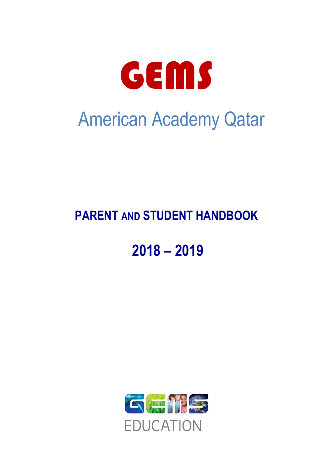

## **PARENT AND STUDENT HANDBOOK**

# **2018 – 2019**

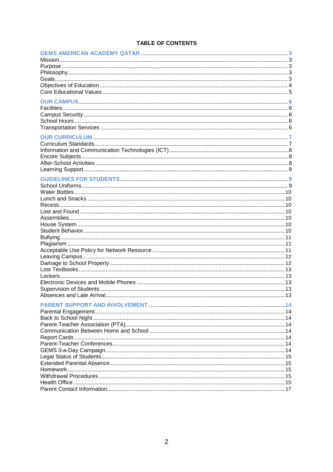| <b>TABLE OF CONTENTS</b> |  |  |  |
|--------------------------|--|--|--|
|--------------------------|--|--|--|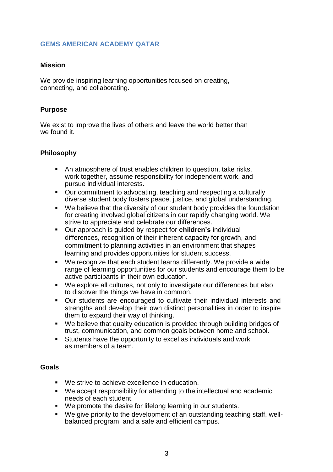## **GEMS AMERICAN ACADEMY QATAR**

#### **Mission**

We provide inspiring learning opportunities focused on creating, connecting, and collaborating.

## **Purpose**

We exist to improve the lives of others and leave the world better than we found it.

#### **Philosophy**

- An atmosphere of trust enables children to question, take risks, work together, assume responsibility for independent work, and pursue individual interests.
- Our commitment to advocating, teaching and respecting a culturally diverse student body fosters peace, justice, and global understanding.
- We believe that the diversity of our student body provides the foundation for creating involved global citizens in our rapidly changing world. We strive to appreciate and celebrate our differences.
- Our approach is guided by respect for **children's** individual differences, recognition of their inherent capacity for growth, and commitment to planning activities in an environment that shapes learning and provides opportunities for student success.
- We recognize that each student learns differently. We provide a wide range of learning opportunities for our students and encourage them to be active participants in their own education.
- We explore all cultures, not only to investigate our differences but also to discover the things we have in common.
- Our students are encouraged to cultivate their individual interests and strengths and develop their own distinct personalities in order to inspire them to expand their way of thinking.
- We believe that quality education is provided through building bridges of trust, communication, and common goals between home and school.<br>Students have the opportunity to excel as individuals and work
- Students have the opportunity to excel as individuals and work as members of a team.

#### **Goals**

- We strive to achieve excellence in education.
- We accept responsibility for attending to the intellectual and academic needs of each student.
- We promote the desire for lifelong learning in our students.
- We give priority to the development of an outstanding teaching staff, wellbalanced program, and a safe and efficient campus.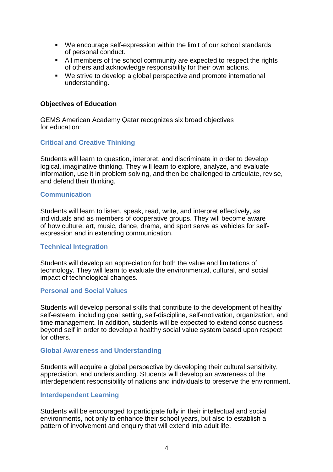- We encourage self-expression within the limit of our school standards of personal conduct.
- All members of the school community are expected to respect the rights of others and acknowledge responsibility for their own actions.
- We strive to develop a global perspective and promote international understanding.

#### **Objectives of Education**

GEMS American Academy Qatar recognizes six broad objectives for education:

## **Critical and Creative Thinking**

Students will learn to question, interpret, and discriminate in order to develop logical, imaginative thinking. They will learn to explore, analyze, and evaluate information, use it in problem solving, and then be challenged to articulate, revise, and defend their thinking.

#### **Communication**

Students will learn to listen, speak, read, write, and interpret effectively, as individuals and as members of cooperative groups. They will become aware of how culture, art, music, dance, drama, and sport serve as vehicles for selfexpression and in extending communication.

#### **Technical Integration**

Students will develop an appreciation for both the value and limitations of technology. They will learn to evaluate the environmental, cultural, and social impact of technological changes.

#### **Personal and Social Values**

Students will develop personal skills that contribute to the development of healthy self-esteem, including goal setting, self-discipline, self-motivation, organization, and time management. In addition, students will be expected to extend consciousness beyond self in order to develop a healthy social value system based upon respect for others.

#### **Global Awareness and Understanding**

Students will acquire a global perspective by developing their cultural sensitivity, appreciation, and understanding. Students will develop an awareness of the interdependent responsibility of nations and individuals to preserve the environment.

#### **Interdependent Learning**

Students will be encouraged to participate fully in their intellectual and social environments, not only to enhance their school years, but also to establish a pattern of involvement and enquiry that will extend into adult life.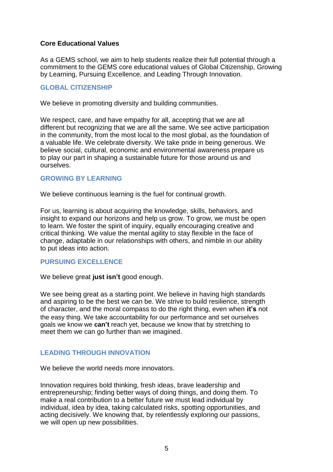## **Core Educational Values**

As a GEMS school, we aim to help students realize their full potential through a commitment to the GEMS core educational values of Global Citizenship, Growing by Learning, Pursuing Excellence, and Leading Through Innovation.

## **GLOBAL CITIZENSHIP**

We believe in promoting diversity and building communities.

We respect, care, and have empathy for all, accepting that we are all different but recognizing that we are all the same. We see active participation in the community, from the most local to the most global, as the foundation of a valuable life. We celebrate diversity. We take pride in being generous. We believe social, cultural, economic and environmental awareness prepare us to play our part in shaping a sustainable future for those around us and ourselves.

## **GROWING BY LEARNING**

We believe continuous learning is the fuel for continual growth.

For us, learning is about acquiring the knowledge, skills, behaviors, and insight to expand our horizons and help us grow. To grow, we must be open to learn. We foster the spirit of inquiry, equally encouraging creative and critical thinking. We value the mental agility to stay flexible in the face of change, adaptable in our relationships with others, and nimble in our ability to put ideas into action.

## **PURSUING EXCELLENCE**

We believe great **just isn't** good enough.

We see being great as a starting point. We believe in having high standards and aspiring to be the best we can be. We strive to build resilience, strength of character, and the moral compass to do the right thing, even when **it's** not the easy thing. We take accountability for our performance and set ourselves goals we know we **can't** reach yet, because we know that by stretching to meet them we can go further than we imagined.

## **LEADING THROUGH INNOVATION**

We believe the world needs more innovators.

Innovation requires bold thinking, fresh ideas, brave leadership and entrepreneurship; finding better ways of doing things, and doing them. To make a real contribution to a better future we must lead individual by individual, idea by idea, taking calculated risks, spotting opportunities, and acting decisively. We knowing that, by relentlessly exploring our passions, we will open up new possibilities.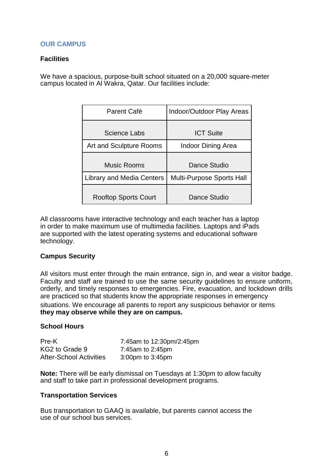## **OUR CAMPUS**

## **Facilities**

We have a spacious, purpose-built school situated on a 20,000 square-meter campus located in Al Wakra, Qatar. Our facilities include:

| Parent Café                      | Indoor/Outdoor Play Areas        |
|----------------------------------|----------------------------------|
| <b>Science Labs</b>              | <b>ICT Suite</b>                 |
| Art and Sculpture Rooms          | <b>Indoor Dining Area</b>        |
| Music Rooms                      | Dance Studio                     |
| <b>Library and Media Centers</b> | <b>Multi-Purpose Sports Hall</b> |
| <b>Rooftop Sports Court</b>      | Dance Studio                     |

All classrooms have interactive technology and each teacher has a laptop in order to make maximum use of multimedia facilities. Laptops and iPads are supported with the latest operating systems and educational software technology.

## **Campus Security**

All visitors must enter through the main entrance, sign in, and wear a visitor badge. Faculty and staff are trained to use the same security guidelines to ensure uniform, orderly, and timely responses to emergencies. Fire, evacuation, and lockdown drills are practiced so that students know the appropriate responses in emergency situations. We encourage all parents to report any suspicious behavior or items **they may observe while they are on campus.**

#### **School Hours**

| Pre-K                          | 7:45am to 12:30pm/2:45pm |
|--------------------------------|--------------------------|
| KG2 to Grade 9                 | 7:45am to 2:45pm         |
| <b>After-School Activities</b> | $3:00$ pm to $3:45$ pm   |

**Note:** There will be early dismissal on Tuesdays at 1:30pm to allow faculty and staff to take part in professional development programs.

#### **Transportation Services**

Bus transportation to GAAQ is available, but parents cannot access the use of our school bus services.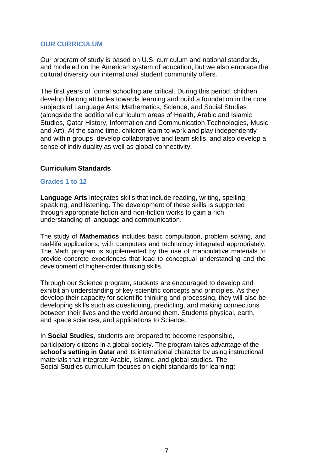## **OUR CURRICULUM**

Our program of study is based on U.S. curriculum and national standards, and modeled on the American system of education, but we also embrace the cultural diversity our international student community offers.

The first years of formal schooling are critical. During this period, children develop lifelong attitudes towards learning and build a foundation in the core subjects of Language Arts, Mathematics, Science, and Social Studies (alongside the additional curriculum areas of Health, Arabic and Islamic Studies, Qatar History, Information and Communication Technologies, Music and Art). At the same time, children learn to work and play independently and within groups, develop collaborative and team skills, and also develop a sense of individuality as well as global connectivity.

#### **Curriculum Standards**

#### **Grades 1 to 12**

**Language Arts** integrates skills that include reading, writing, spelling, speaking, and listening. The development of these skills is supported through appropriate fiction and non-fiction works to gain a rich understanding of language and communication.

The study of **Mathematics** includes basic computation, problem solving, and real-life applications, with computers and technology integrated appropriately. The Math program is supplemented by the use of manipulative materials to provide concrete experiences that lead to conceptual understanding and the development of higher-order thinking skills.

Through our Science program, students are encouraged to develop and exhibit an understanding of key scientific concepts and principles. As they develop their capacity for scientific thinking and processing, they will also be developing skills such as questioning, predicting, and making connections between their lives and the world around them. Students physical, earth, and space sciences, and applications to Science.

In **Social Studies**, students are prepared to become responsible, participatory citizens in a global society. The program takes advantage of the **school's setting in Qata**r and its international character by using instructional materials that integrate Arabic, Islamic, and global studies. The Social Studies curriculum focuses on eight standards for learning: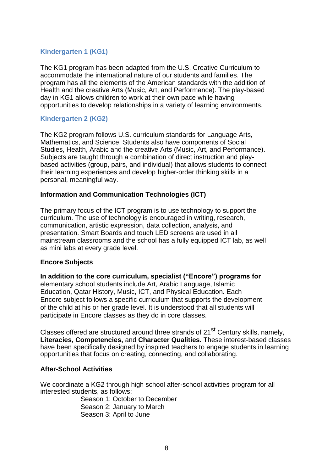## **Kindergarten 1 (KG1)**

The KG1 program has been adapted from the U.S. Creative Curriculum to accommodate the international nature of our students and families. The program has all the elements of the American standards with the addition of Health and the creative Arts (Music, Art, and Performance). The play-based day in KG1 allows children to work at their own pace while having opportunities to develop relationships in a variety of learning environments.

## **Kindergarten 2 (KG2)**

The KG2 program follows U.S. curriculum standards for Language Arts, Mathematics, and Science. Students also have components of Social Studies, Health, Arabic and the creative Arts (Music, Art, and Performance). Subjects are taught through a combination of direct instruction and playbased activities (group, pairs, and individual) that allows students to connect their learning experiences and develop higher-order thinking skills in a personal, meaningful way.

## **Information and Communication Technologies (ICT)**

The primary focus of the ICT program is to use technology to support the curriculum. The use of technology is encouraged in writing, research, communication, artistic expression, data collection, analysis, and presentation. Smart Boards and touch LED screens are used in all mainstream classrooms and the school has a fully equipped ICT lab, as well as mini labs at every grade level.

## **Encore Subjects**

**In addition to the core curriculum, specialist ("Encore") programs for**  elementary school students include Art, Arabic Language, Islamic Education, Qatar History, Music, ICT, and Physical Education. Each Encore subject follows a specific curriculum that supports the development of the child at his or her grade level. It is understood that all students will participate in Encore classes as they do in core classes.

Classes offered are structured around three strands of 21<sup>st</sup> Century skills, namely, **Literacies, Competencies,** and **Character Qualities.** These interest-based classes have been specifically designed by inspired teachers to engage students in learning opportunities that focus on creating, connecting, and collaborating.

## **After-School Activities**

We coordinate a KG2 through high school after-school activities program for all interested students, as follows:

> Season 1: October to December Season 2: January to March Season 3: April to June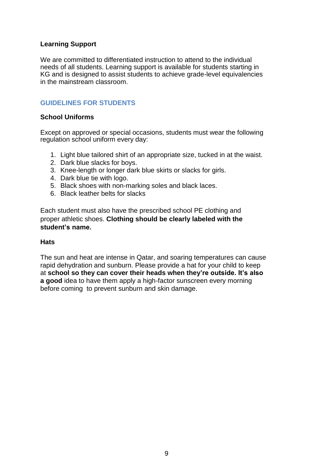## **Learning Support**

We are committed to differentiated instruction to attend to the individual needs of all students. Learning support is available for students starting in KG and is designed to assist students to achieve grade-level equivalencies in the mainstream classroom.

## **GUIDELINES FOR STUDENTS**

## **School Uniforms**

Except on approved or special occasions, students must wear the following regulation school uniform every day:

- 1. Light blue tailored shirt of an appropriate size, tucked in at the waist.
- 2. Dark blue slacks for boys.
- 3. Knee-length or longer dark blue skirts or slacks for girls.
- 4. Dark blue tie with logo.
- 5. Black shoes with non-marking soles and black laces.
- 6. Black leather belts for slacks

Each student must also have the prescribed school PE clothing and proper athletic shoes. **Clothing should be clearly labeled with the student's name.**

#### **Hats**

The sun and heat are intense in Qatar, and soaring temperatures can cause rapid dehydration and sunburn. Please provide a hat for your child to keep at **school so they can cover their heads when they're outside. It's also a good** idea to have them apply a high-factor sunscreen every morning before coming to prevent sunburn and skin damage.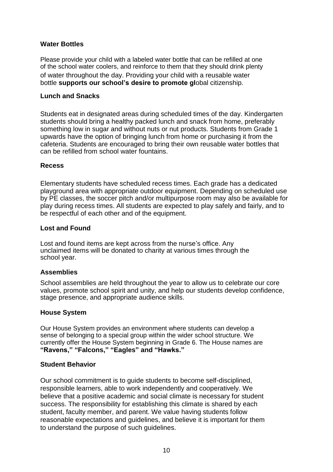## **Water Bottles**

Please provide your child with a labeled water bottle that can be refilled at one of the school water coolers, and reinforce to them that they should drink plenty of water throughout the day. Providing your child with a reusable water bottle **supports our school's desire to promote gl**obal citizenship.

## **Lunch and Snacks**

Students eat in designated areas during scheduled times of the day. Kindergarten students should bring a healthy packed lunch and snack from home, preferably something low in sugar and without nuts or nut products. Students from Grade 1 upwards have the option of bringing lunch from home or purchasing it from the cafeteria. Students are encouraged to bring their own reusable water bottles that can be refilled from school water fountains.

#### **Recess**

Elementary students have scheduled recess times. Each grade has a dedicated playground area with appropriate outdoor equipment. Depending on scheduled use by PE classes, the soccer pitch and/or multipurpose room may also be available for play during recess times. All students are expected to play safely and fairly, and to be respectful of each other and of the equipment.

#### **Lost and Found**

Lost and found items are kept across from the nurse's office. Any unclaimed items will be donated to charity at various times through the school year.

#### **Assemblies**

School assemblies are held throughout the year to allow us to celebrate our core values, promote school spirit and unity, and help our students develop confidence, stage presence, and appropriate audience skills.

#### **House System**

Our House System provides an environment where students can develop a sense of belonging to a special group within the wider school structure. We currently offer the House System beginning in Grade 6. The House names are **"Ravens," "Falcons," "Eagles" and "Hawks."**

#### **Student Behavior**

Our school commitment is to guide students to become self-disciplined, responsible learners, able to work independently and cooperatively. We believe that a positive academic and social climate is necessary for student success. The responsibility for establishing this climate is shared by each student, faculty member, and parent. We value having students follow reasonable expectations and guidelines, and believe it is important for them to understand the purpose of such guidelines.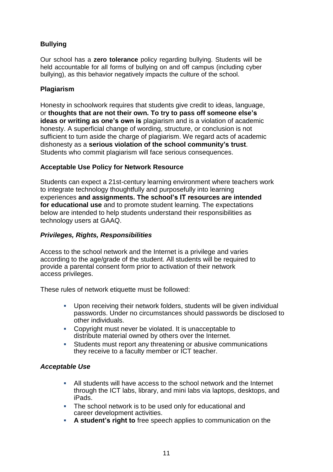## **Bullying**

Our school has a **zero tolerance** policy regarding bullying. Students will be held accountable for all forms of bullying on and off campus (including cyber bullying), as this behavior negatively impacts the culture of the school.

## **Plagiarism**

Honesty in schoolwork requires that students give credit to ideas, language, or **thoughts that are not their own. To try to pass off someone else's ideas or writing as one's own is** plagiarism and is a violation of academic honesty. A superficial change of wording, structure, or conclusion is not sufficient to turn aside the charge of plagiarism. We regard acts of academic dishonesty as a **serious violation of the school community's trust**. Students who commit plagiarism will face serious consequences.

## **Acceptable Use Policy for Network Resource**

Students can expect a 21st-century learning environment where teachers work to integrate technology thoughtfully and purposefully into learning experiences **and assignments. The school's IT resources are intended for educational use** and to promote student learning. The expectations below are intended to help students understand their responsibilities as technology users at GAAQ.

## *Privileges, Rights, Responsibilities*

Access to the school network and the Internet is a privilege and varies according to the age/grade of the student. All students will be required to provide a parental consent form prior to activation of their network access privileges.

These rules of network etiquette must be followed:

- Upon receiving their network folders, students will be given individual passwords. Under no circumstances should passwords be disclosed to other individuals.
- Copyright must never be violated. It is unacceptable to distribute material owned by others over the Internet.
- Students must report any threatening or abusive communications they receive to a faculty member or ICT teacher.

## *Acceptable Use*

- All students will have access to the school network and the Internet through the ICT labs, library, and mini labs via laptops, desktops, and iPads.
- The school network is to be used only for educational and career development activities.
- **A student's right to** free speech applies to communication on the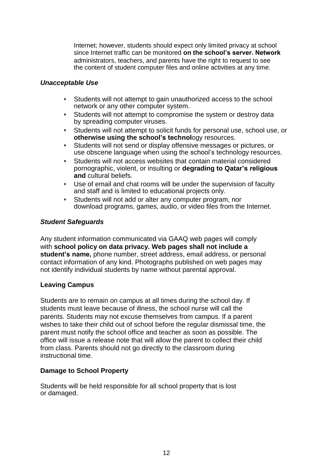Internet; however, students should expect only limited privacy at school since Internet traffic can be monitored **on the school's server. Network** administrators, teachers, and parents have the right to request to see the content of student computer files and online activities at any time.

## *Unacceptable Use*

- Students will not attempt to gain unauthorized access to the school network or any other computer system.<br>Students will not attempt to compromise
- Students will not attempt to compromise the system or destroy data by spreading computer viruses.
- Students will not attempt to solicit funds for personal use, school use, or **otherwise using the school's technology resources.**<br>Students will not send or display offensive messages of
- Students will not send or display offensive messages or pictures, or use obscene language when using the school's technology resources.<br>Students will not access websites that contain material considered
- Students will not access websites that contain material considered pornographic, violent, or insulting or **degrading to Qatar's religious and** cultural beliefs.
- Use of email and chat rooms will be under the supervision of faculty and staff and is limited to educational projects only.<br>Students will not add or alter any computer program
- Students will not add or alter any computer program, nor download programs, games, audio, or video files from the Internet.

## *Student Safeguards*

Any student information communicated via GAAQ web pages will comply with **school policy on data privacy. Web pages shall not include a student's name,** phone number, street address, email address, or personal contact information of any kind. Photographs published on web pages may not identify individual students by name without parental approval.

## **Leaving Campus**

Students are to remain on campus at all times during the school day. If students must leave because of illness, the school nurse will call the parents. Students may not excuse themselves from campus. If a parent wishes to take their child out of school before the regular dismissal time, the parent must notify the school office and teacher as soon as possible. The office will issue a release note that will allow the parent to collect their child from class. Parents should not go directly to the classroom during instructional time.

## **Damage to School Property**

Students will be held responsible for all school property that is lost or damaged.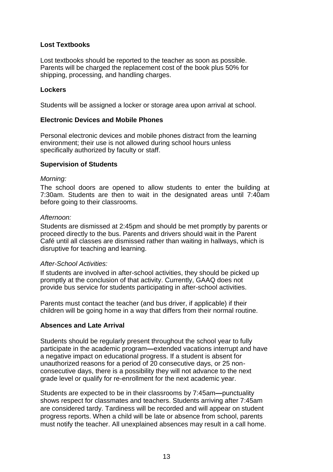## **Lost Textbooks**

Lost textbooks should be reported to the teacher as soon as possible. Parents will be charged the replacement cost of the book plus 50% for shipping, processing, and handling charges.

## **Lockers**

Students will be assigned a locker or storage area upon arrival at school.

#### **Electronic Devices and Mobile Phones**

Personal electronic devices and mobile phones distract from the learning environment; their use is not allowed during school hours unless specifically authorized by faculty or staff.

#### **Supervision of Students**

#### *Morning:*

The school doors are opened to allow students to enter the building at 7:30am. Students are then to wait in the designated areas until 7:40am before going to their classrooms.

#### *Afternoon:*

Students are dismissed at 2:45pm and should be met promptly by parents or proceed directly to the bus. Parents and drivers should wait in the Parent Café until all classes are dismissed rather than waiting in hallways, which is disruptive for teaching and learning.

#### *After-School Activities:*

If students are involved in after-school activities, they should be picked up promptly at the conclusion of that activity. Currently, GAAQ does not provide bus service for students participating in after-school activities.

Parents must contact the teacher (and bus driver, if applicable) if their children will be going home in a way that differs from their normal routine.

## **Absences and Late Arrival**

Students should be regularly present throughout the school year to fully participate in the academic program**—**extended vacations interrupt and have a negative impact on educational progress. If a student is absent for unauthorized reasons for a period of 20 consecutive days, or 25 nonconsecutive days, there is a possibility they will not advance to the next grade level or qualify for re-enrollment for the next academic year.

Students are expected to be in their classrooms by 7:45am**—**punctuality shows respect for classmates and teachers. Students arriving after 7:45am are considered tardy. Tardiness will be recorded and will appear on student progress reports. When a child will be late or absence from school, parents must notify the teacher. All unexplained absences may result in a call home.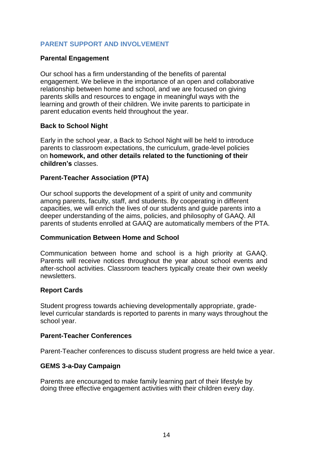## **PARENT SUPPORT AND INVOLVEMENT**

## **Parental Engagement**

Our school has a firm understanding of the benefits of parental engagement. We believe in the importance of an open and collaborative relationship between home and school, and we are focused on giving parents skills and resources to engage in meaningful ways with the learning and growth of their children. We invite parents to participate in parent education events held throughout the year.

#### **Back to School Night**

Early in the school year, a Back to School Night will be held to introduce parents to classroom expectations, the curriculum, grade-level policies on **homework, and other details related to the functioning of their children's** classes.

#### **Parent-Teacher Association (PTA)**

Our school supports the development of a spirit of unity and community among parents, faculty, staff, and students. By cooperating in different capacities, we will enrich the lives of our students and guide parents into a deeper understanding of the aims, policies, and philosophy of GAAQ. All parents of students enrolled at GAAQ are automatically members of the PTA.

#### **Communication Between Home and School**

Communication between home and school is a high priority at GAAQ. Parents will receive notices throughout the year about school events and after-school activities. Classroom teachers typically create their own weekly newsletters.

## **Report Cards**

Student progress towards achieving developmentally appropriate, gradelevel curricular standards is reported to parents in many ways throughout the school year.

#### **Parent-Teacher Conferences**

Parent-Teacher conferences to discuss student progress are held twice a year.

## **GEMS 3-a-Day Campaign**

Parents are encouraged to make family learning part of their lifestyle by doing three effective engagement activities with their children every day.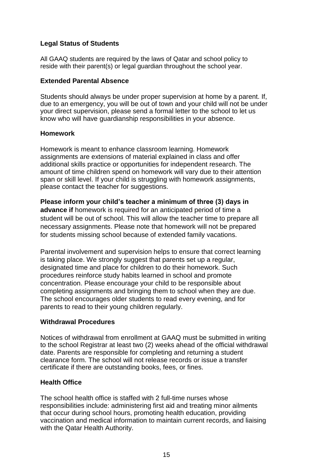## **Legal Status of Students**

All GAAQ students are required by the laws of Qatar and school policy to reside with their parent(s) or legal guardian throughout the school year.

#### **Extended Parental Absence**

Students should always be under proper supervision at home by a parent. If, due to an emergency, you will be out of town and your child will not be under your direct supervision, please send a formal letter to the school to let us know who will have guardianship responsibilities in your absence.

#### **Homework**

Homework is meant to enhance classroom learning. Homework assignments are extensions of material explained in class and offer additional skills practice or opportunities for independent research. The amount of time children spend on homework will vary due to their attention span or skill level. If your child is struggling with homework assignments, please contact the teacher for suggestions.

**Please inform your child's teacher a minimum of three (3) days in advance if** homework is required for an anticipated period of time a student will be out of school. This will allow the teacher time to prepare all necessary assignments. Please note that homework will not be prepared for students missing school because of extended family vacations.

Parental involvement and supervision helps to ensure that correct learning is taking place. We strongly suggest that parents set up a regular, designated time and place for children to do their homework. Such procedures reinforce study habits learned in school and promote concentration. Please encourage your child to be responsible about completing assignments and bringing them to school when they are due. The school encourages older students to read every evening, and for parents to read to their young children regularly.

#### **Withdrawal Procedures**

Notices of withdrawal from enrollment at GAAQ must be submitted in writing to the school Registrar at least two (2) weeks ahead of the official withdrawal date. Parents are responsible for completing and returning a student clearance form. The school will not release records or issue a transfer certificate if there are outstanding books, fees, or fines.

## **Health Office**

The school health office is staffed with 2 full-time nurses whose responsibilities include: administering first aid and treating minor ailments that occur during school hours, promoting health education, providing vaccination and medical information to maintain current records, and liaising with the Qatar Health Authority.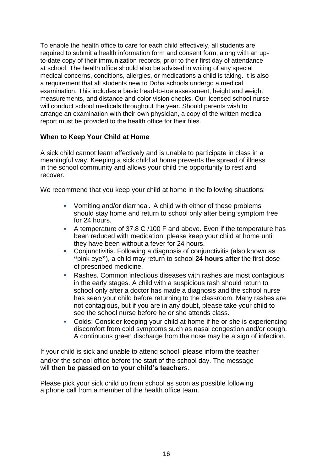To enable the health office to care for each child effectively, all students are required to submit a health information form and consent form, along with an upto-date copy of their immunization records, prior to their first day of attendance at school. The health office should also be advised in writing of any special medical concerns, conditions, allergies, or medications a child is taking. It is also a requirement that all students new to Doha schools undergo a medical examination. This includes a basic head-to-toe assessment, height and weight measurements, and distance and color vision checks. Our licensed school nurse will conduct school medicals throughout the year. Should parents wish to arrange an examination with their own physician, a copy of the written medical report must be provided to the health office for their files.

## **When to Keep Your Child at Home**

A sick child cannot learn effectively and is unable to participate in class in a meaningful way. Keeping a sick child at home prevents the spread of illness in the school community and allows your child the opportunity to rest and recover.

We recommend that you keep your child at home in the following situations:

- Vomiting and/or diarrhea**.** A child with either of these problems should stay home and return to school only after being symptom free for 24 hours.<br>∎ A temperatur
- A temperature of 37.8 C /100 F and above. Even if the temperature has been reduced with medication, please keep your child at home until they have been without a fever for 24 hours.
- Conjunctivitis. Following a diagnosis of conjunctivitis (also known as **"**pink eye**"**), a child may return to school **24 hours after** the first dose of prescribed medicine.
- Rashes. Common infectious diseases with rashes are most contagious in the early stages. A child with a suspicious rash should return to school only after a doctor has made a diagnosis and the school nurse has seen your child before returning to the classroom. Many rashes are not contagious, but if you are in any doubt, please take your child to see the school nurse before he or she attends class.<br>Colds: Consider keeping your child at home if he or
- Colds: Consider keeping your child at home if he or she is experiencing discomfort from cold symptoms such as nasal congestion and/or cough. A continuous green discharge from the nose may be a sign of infection.

If your child is sick and unable to attend school, please inform the teacher and/or the school office before the start of the school day. The message will **then be passed on to your child's teacher**s.

Please pick your sick child up from school as soon as possible following a phone call from a member of the health office team.